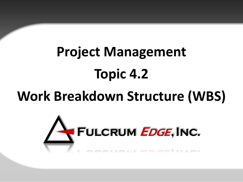# **Project Management Topic 4.2**

## **Work Breakdown Structure (WBS)**

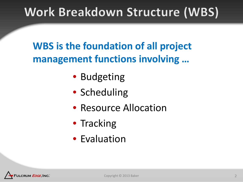### Work Breakdown Structure (WBS)

**WBS is the foundation of all project management functions involving …**

- Budgeting
- Scheduling
- Resource Allocation
- Tracking
- Evaluation

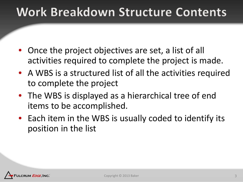### Work Breakdown Structure Contents

- Once the project objectives are set, a list of all activities required to complete the project is made.
- A WBS is a structured list of all the activities required to complete the project
- The WBS is displayed as a hierarchical tree of end items to be accomplished.
- Each item in the WBS is usually coded to identify its position in the list

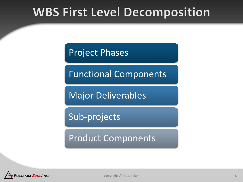### **WBS First Level Decomposition**

Project Phases

Functional Components

Major Deliverables

Sub-projects

Product Components

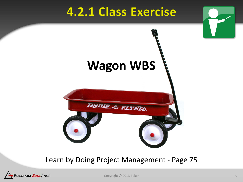### **4.2.1 Class Exercise**



#### Learn by Doing Project Management - Page 75



Copyright © 2013 Baker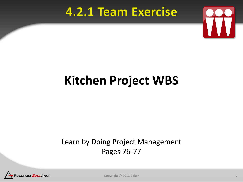### **4.2.1 Team Exercise**



## **Kitchen Project WBS**

### Learn by Doing Project Management Pages 76-77



Copyright © 2013 Baker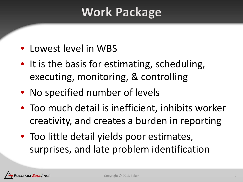### **Work Package**

- Lowest level in WBS
- It is the basis for estimating, scheduling, executing, monitoring, & controlling
- No specified number of levels
- Too much detail is inefficient, inhibits worker creativity, and creates a burden in reporting
- Too little detail yields poor estimates, surprises, and late problem identification